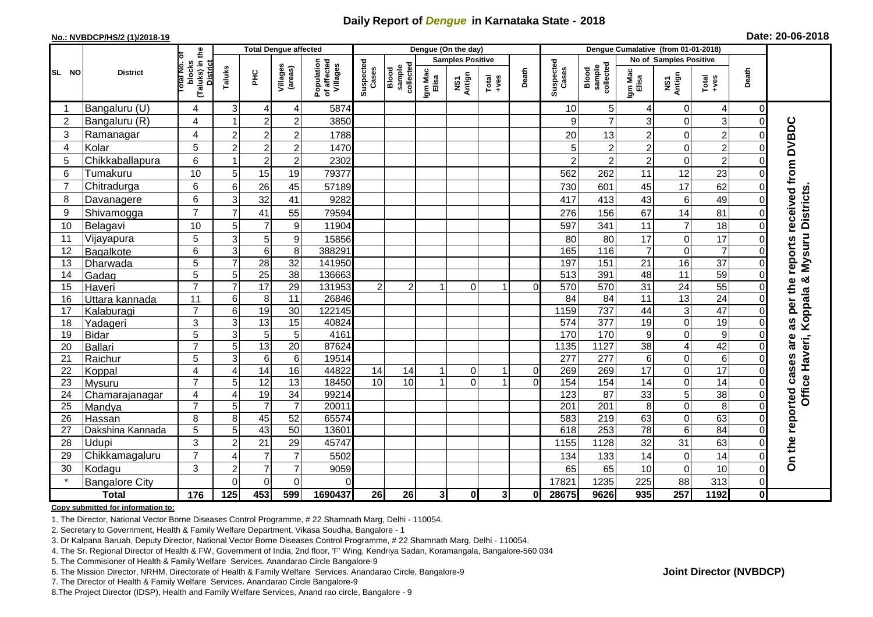## **Daily Report of** *Dengue* **in Karnataka State - 2018**

#### **No.: NVBDCP/HS/2 (1)/2018-19**

| Date: 20-06-2018 |  |  |  |  |
|------------------|--|--|--|--|
|------------------|--|--|--|--|

|                |                          |                                                              |                           | <b>Total Dengue affected</b> |                                    |                                       | Dengue (On the day)   |                                                                                                    |                  |                         |               |                     |                    | Dengue Cumalative (from 01-01-2018) |                                    |                        |                  |                |                                           |
|----------------|--------------------------|--------------------------------------------------------------|---------------------------|------------------------------|------------------------------------|---------------------------------------|-----------------------|----------------------------------------------------------------------------------------------------|------------------|-------------------------|---------------|---------------------|--------------------|-------------------------------------|------------------------------------|------------------------|------------------|----------------|-------------------------------------------|
|                |                          |                                                              |                           |                              |                                    |                                       |                       |                                                                                                    |                  | <b>Samples Positive</b> |               |                     |                    |                                     |                                    | No of Samples Positive |                  |                |                                           |
| SL NO          | <b>District</b>          | (Taluks) in the<br>lotal No. ol<br>blocks<br><b>District</b> | Taluks                    | ĔБ                           | Villages<br>(areas)                | Population<br>of affected<br>Villages | Suspected<br>Cases    | $\begin{array}{c}\n\hline\n\text{Blood} \\ \text{sample} \\ \text{same}\n\end{array}$<br>collected | Igm Mac<br>Elisa | NS1<br>Antign           | Total<br>+ves | Death               | Suspected<br>Cases | sample<br>collected<br>Blood        | Igm Mac<br>Elisa                   | NS1<br>Antign          | Total<br>+ves    | Death          |                                           |
| -1             | Bangaluru (U)            | 4                                                            | 3                         | $\overline{4}$               | 4                                  | 5874                                  |                       |                                                                                                    |                  |                         |               |                     | 10                 | 5                                   | 4                                  | 0                      | 4                | $\overline{0}$ |                                           |
| $\overline{2}$ | Bangaluru (R)            | 4                                                            |                           | $\overline{2}$               | $\overline{c}$                     | 3850                                  |                       |                                                                                                    |                  |                         |               |                     | 9                  | $\overline{7}$                      | 3                                  | $\Omega$               | $\overline{3}$   | $\Omega$       |                                           |
| 3              | Ramanagar                | 4                                                            | $\overline{c}$            | $\overline{c}$               | $\overline{2}$                     | 1788                                  |                       |                                                                                                    |                  |                         |               |                     | 20                 | 13                                  | $\overline{c}$                     | $\mathbf 0$            | $\overline{c}$   |                | received from DVBDC                       |
| 4              | Kolar                    | 5                                                            | $\overline{c}$            | $\overline{2}$               | $\overline{c}$                     | 1470                                  |                       |                                                                                                    |                  |                         |               |                     | 5 <sup>1</sup>     | 2                                   | $\overline{2}$                     | $\mathbf 0$            | $\overline{2}$   |                |                                           |
| 5              | Chikkaballapura          | 6                                                            | -1                        | $\overline{2}$               | $\overline{c}$                     | 2302                                  |                       |                                                                                                    |                  |                         |               |                     | $\overline{2}$     | $\overline{c}$                      | $\overline{2}$                     | $\mathbf 0$            | $\overline{2}$   |                |                                           |
| 6              | Tumakuru                 | 10                                                           | 5                         | 15                           | 19                                 | 79377                                 |                       |                                                                                                    |                  |                         |               |                     | 562                | 262                                 | 11                                 | 12                     | 23               |                |                                           |
| $\overline{7}$ | Chitradurga              | 6                                                            | 6                         | 26                           | 45                                 | 57189                                 |                       |                                                                                                    |                  |                         |               |                     | 730                | 601                                 | 45                                 | 17                     | 62               |                |                                           |
| 8              | Davanagere               | 6                                                            | 3                         | $\overline{32}$              | 41                                 | 9282                                  |                       |                                                                                                    |                  |                         |               |                     | 417                | 413                                 | 43                                 | 6                      | 49               |                |                                           |
| 9              | Shivamogga               | $\overline{7}$                                               | $\overline{7}$            | 41                           | 55                                 | 79594                                 |                       |                                                                                                    |                  |                         |               |                     | 276                | 156                                 | 67                                 | 14                     | 81               | 0              |                                           |
| 10             | Belagavi                 | 10                                                           | 5                         | $\overline{7}$               | 9                                  | 11904                                 |                       |                                                                                                    |                  |                         |               |                     | 597                | 341                                 | 11                                 | $\overline{7}$         | 18               | $\Omega$       | Office Haveri, Koppala & Mysuru Districts |
| 11             | Vijayapura               | 5                                                            | 3                         | 5                            | 9                                  | 15856                                 |                       |                                                                                                    |                  |                         |               |                     | 80                 | 80                                  | 17                                 | $\mathbf 0$            | 17               |                |                                           |
| 12             | Bagalkote                | 6                                                            | $\ensuremath{\mathsf{3}}$ | $\,6\,$                      | 8                                  | 388291                                |                       |                                                                                                    |                  |                         |               |                     | 165                | 116                                 | $\overline{7}$                     | $\mathbf 0$            | $\overline{7}$   |                |                                           |
| 13             | Dharwada                 | 5                                                            | $\overline{7}$            | $\overline{28}$              | $\overline{32}$                    | 141950                                |                       |                                                                                                    |                  |                         |               |                     | 197                | 151                                 | 21                                 | 16                     | $\overline{37}$  |                | reports                                   |
| 14             | Gadag                    | $\overline{5}$                                               | $\overline{5}$            | 25                           | $\overline{38}$                    | 136663                                |                       |                                                                                                    |                  |                         |               |                     | $\overline{513}$   | 391                                 | 48                                 | $\overline{11}$        | 59               |                |                                           |
| 15             | Haveri                   | $\overline{7}$                                               | $\overline{7}$            | 17                           | 29                                 | 131953                                | 2                     | $\overline{2}$                                                                                     |                  | $\Omega$                |               | $\Omega$            | 570                | 570                                 | 31                                 | 24                     | 55               |                |                                           |
| 16             | Uttara kannada           | 11                                                           | $6\phantom{1}6$           | 8                            | $\overline{11}$                    | 26846                                 |                       |                                                                                                    |                  |                         |               |                     | 84                 | 84                                  | $\overline{11}$                    | $\overline{13}$        | $\overline{24}$  |                | per the                                   |
| 17             | Kalaburagi               | $\overline{7}$                                               | 6                         | 19                           | 30                                 | 122145                                |                       |                                                                                                    |                  |                         |               |                     | 1159               | 737                                 | 44                                 | 3                      | 47               |                |                                           |
| 18             | Yadageri                 | 3                                                            | 3                         | 13                           | 15                                 | 40824                                 |                       |                                                                                                    |                  |                         |               |                     | 574                | 377                                 | 19                                 | $\mathbf 0$            | 19               |                | as                                        |
| 19             | <b>Bidar</b>             | 5                                                            | 3                         | $\overline{5}$               | 5                                  | 4161                                  |                       |                                                                                                    |                  |                         |               |                     | 170                | 170                                 | 9                                  | 0                      | $\boldsymbol{9}$ |                | are                                       |
| 20             | Ballari                  | $\overline{7}$                                               | 5                         | 13                           | $\overline{20}$                    | 87624                                 |                       |                                                                                                    |                  |                         |               |                     | 1135               | 1127                                | 38                                 | 4                      | 42               |                |                                           |
| 21             | Raichur                  | 5                                                            | 3                         | 6                            | 6                                  | 19514                                 |                       |                                                                                                    |                  |                         |               |                     | $\overline{277}$   | 277                                 | 6                                  | $\mathbf 0$            | $\,6$            |                |                                           |
| 22             | Koppal                   | 4<br>$\overline{7}$                                          | $\overline{4}$            | $\overline{14}$<br>12        | 16                                 | 44822<br>18450                        | 14<br>$\overline{10}$ | 14<br>10                                                                                           |                  | 0<br>$\overline{0}$     |               | 0<br>$\overline{0}$ | 269<br>154         | 269                                 | $\overline{17}$<br>$\overline{14}$ | $\mathbf 0$            | 17<br>14         |                |                                           |
| 23<br>24       | Mysuru                   | 4                                                            | 5<br>$\overline{4}$       | 19                           | $\overline{13}$<br>$\overline{34}$ | 99214                                 |                       |                                                                                                    |                  |                         |               |                     | 123                | 154<br>87                           | 33                                 | $\mathbf 0$<br>5       | 38               | 0              |                                           |
| 25             | Chamarajanagar<br>Mandya | $\overline{7}$                                               | 5                         | $\overline{7}$               | $\overline{7}$                     | 20011                                 |                       |                                                                                                    |                  |                         |               |                     | 201                | $\overline{201}$                    | 8                                  | $\mathbf 0$            | $\overline{8}$   | $\Omega$       |                                           |
| 26             | Hassan                   | 8                                                            | 8                         | 45                           | 52                                 | 65574                                 |                       |                                                                                                    |                  |                         |               |                     | 583                | 219                                 | 63                                 | $\mathbf 0$            | 63               | 0              |                                           |
| 27             | Dakshina Kannada         | 5                                                            | 5                         | 43                           | 50                                 | 13601                                 |                       |                                                                                                    |                  |                         |               |                     | 618                | 253                                 | 78                                 | 6                      | 84               | $\Omega$       |                                           |
| 28             | Udupi                    | 3                                                            | $\overline{2}$            | 21                           | 29                                 | 45747                                 |                       |                                                                                                    |                  |                         |               |                     | 1155               | 1128                                | 32                                 | 31                     | 63               | 0              |                                           |
| 29             | Chikkamagaluru           | $\overline{7}$                                               | $\overline{4}$            | $\overline{7}$               | $\overline{7}$                     | 5502                                  |                       |                                                                                                    |                  |                         |               |                     | 134                | 133                                 | 14                                 | $\mathbf 0$            | 14               | $\Omega$       | On the reported cases                     |
| 30             | Kodagu                   | 3                                                            | $\overline{c}$            | $\overline{7}$               | $\overline{7}$                     | 9059                                  |                       |                                                                                                    |                  |                         |               |                     | 65                 | 65                                  | 10                                 | $\mathbf 0$            | $10$             | 0              |                                           |
|                | <b>Bangalore City</b>    |                                                              | $\Omega$                  | $\overline{0}$               | $\Omega$                           | $\Omega$                              |                       |                                                                                                    |                  |                         |               |                     | 17821              | 1235                                | 225                                | 88                     | 313              | $\overline{0}$ |                                           |
|                | <b>Total</b>             | $\frac{1}{176}$                                              | 125                       | 453                          | 599                                | 1690437                               | 26                    | 26                                                                                                 | 3 <sup>1</sup>   | $\mathbf{0}$            | 3             | 0                   | 28675              | 9626                                | 935                                | $\frac{257}{5}$        | 1192             | $\mathbf{0}$   |                                           |

### **Copy submitted for information to:**

1. The Director, National Vector Borne Diseases Control Programme, # 22 Shamnath Marg, Delhi - 110054.

2. Secretary to Government, Health & Family Welfare Department, Vikasa Soudha, Bangalore - 1

3. Dr Kalpana Baruah, Deputy Director, National Vector Borne Diseases Control Programme, # 22 Shamnath Marg, Delhi - 110054.

- 4. The Sr. Regional Director of Health & FW, Government of India, 2nd floor, 'F' Wing, Kendriya Sadan, Koramangala, Bangalore-560 034
- 5. The Commisioner of Health & Family Welfare Services. Anandarao Circle Bangalore-9
- 6. The Mission Director, NRHM, Directorate of Health & Family Welfare Services. Anandarao Circle, Bangalore-9

7. The Director of Health & Family Welfare Services. Anandarao Circle Bangalore-9

8.The Project Director (IDSP), Health and Family Welfare Services, Anand rao circle, Bangalore - 9